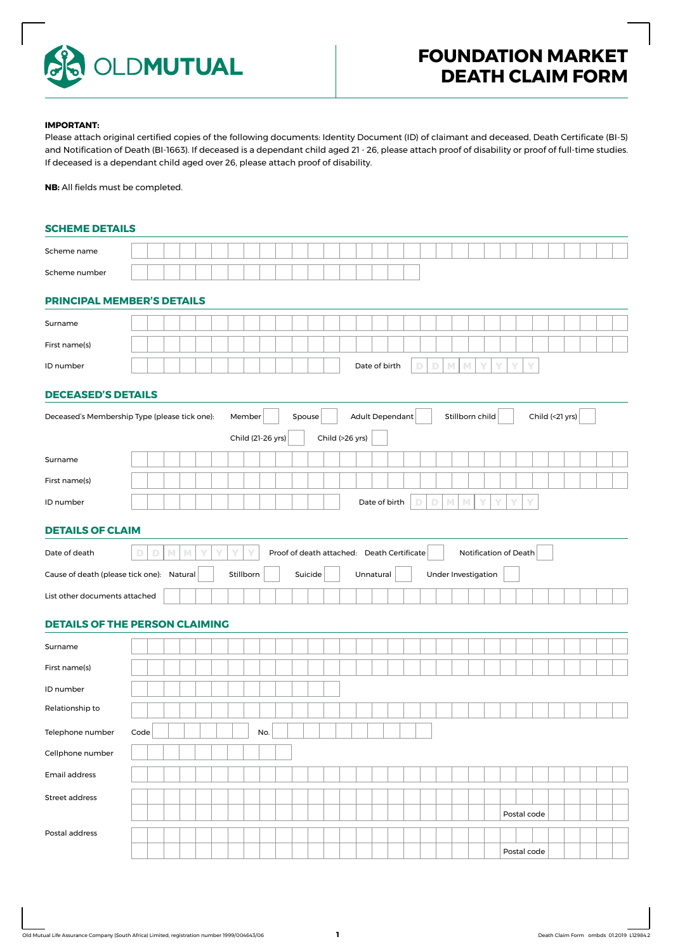

## **IMPORTANT:**

Please attach original certified copies of the following documents: Identity Document (ID) of claimant and deceased, Death Certificate (BI-5) and Notification of Death (BI-1663). If deceased is a dependant child aged 21 - 26, please attach proof of disability or proof of full-time studies. If deceased is a dependant child aged over 26, please attach proof of disability.

**NB:** All fields must be completed.

## **SCHEME DETAILS**

| Scheme name                                   |      |        |   |   |   |   |                   |     |        |         |                                            |  |                        |   |             |   |   |                       |  |             |                 |  |  |
|-----------------------------------------------|------|--------|---|---|---|---|-------------------|-----|--------|---------|--------------------------------------------|--|------------------------|---|-------------|---|---|-----------------------|--|-------------|-----------------|--|--|
| Scheme number                                 |      |        |   |   |   |   |                   |     |        |         |                                            |  |                        |   |             |   |   |                       |  |             |                 |  |  |
| PRINCIPAL MEMBER'S DETAILS                    |      |        |   |   |   |   |                   |     |        |         |                                            |  |                        |   |             |   |   |                       |  |             |                 |  |  |
| Surname                                       |      |        |   |   |   |   |                   |     |        |         |                                            |  |                        |   |             |   |   |                       |  |             |                 |  |  |
| First name(s)                                 |      |        |   |   |   |   |                   |     |        |         |                                            |  |                        |   |             |   |   |                       |  |             |                 |  |  |
| ID number                                     |      |        |   |   |   |   |                   |     |        |         |                                            |  | Date of birth          | D | $\mathbb D$ | M | M |                       |  | Y           |                 |  |  |
| <b>DECEASED'S DETAILS</b>                     |      |        |   |   |   |   |                   |     |        |         |                                            |  |                        |   |             |   |   |                       |  |             |                 |  |  |
| Deceased's Membership Type (please tick one): |      |        |   |   |   |   | Member            |     | Spouse |         |                                            |  | <b>Adult Dependant</b> |   |             |   |   | Stillborn child       |  |             | Child (<21 yrs) |  |  |
|                                               |      |        |   |   |   |   | Child (21-26 yrs) |     |        |         | Child (>26 yrs)                            |  |                        |   |             |   |   |                       |  |             |                 |  |  |
| Surname                                       |      |        |   |   |   |   |                   |     |        |         |                                            |  |                        |   |             |   |   |                       |  |             |                 |  |  |
| First name(s)                                 |      |        |   |   |   |   |                   |     |        |         |                                            |  |                        |   |             |   |   |                       |  |             |                 |  |  |
| ID number                                     |      |        |   |   |   |   |                   |     |        |         |                                            |  | Date of birth          | D | D           | M | M |                       |  |             |                 |  |  |
| <b>DETAILS OF CLAIM</b>                       |      |        |   |   |   |   |                   |     |        |         |                                            |  |                        |   |             |   |   |                       |  |             |                 |  |  |
| Date of death                                 |      | M<br>D | M | Υ | Υ | Υ | Y                 |     |        |         | Proof of death attached: Death Certificate |  |                        |   |             |   |   | Notification of Death |  |             |                 |  |  |
| Cause of death (please tick one): Natural     |      |        |   |   |   |   | Stillborn         |     |        | Suicide |                                            |  | Unnatural              |   |             |   |   | Under Investigation   |  |             |                 |  |  |
| List other documents attached                 |      |        |   |   |   |   |                   |     |        |         |                                            |  |                        |   |             |   |   |                       |  |             |                 |  |  |
| <b>DETAILS OF THE PERSON CLAIMING</b>         |      |        |   |   |   |   |                   |     |        |         |                                            |  |                        |   |             |   |   |                       |  |             |                 |  |  |
| Surname                                       |      |        |   |   |   |   |                   |     |        |         |                                            |  |                        |   |             |   |   |                       |  |             |                 |  |  |
|                                               |      |        |   |   |   |   |                   |     |        |         |                                            |  |                        |   |             |   |   |                       |  |             |                 |  |  |
| First name(s)                                 |      |        |   |   |   |   |                   |     |        |         |                                            |  |                        |   |             |   |   |                       |  |             |                 |  |  |
| ID number                                     |      |        |   |   |   |   |                   |     |        |         |                                            |  |                        |   |             |   |   |                       |  |             |                 |  |  |
| Relationship to                               |      |        |   |   |   |   |                   |     |        |         |                                            |  |                        |   |             |   |   |                       |  |             |                 |  |  |
|                                               | Code |        |   |   |   |   |                   | No. |        |         |                                            |  |                        |   |             |   |   |                       |  |             |                 |  |  |
| Telephone number<br>Cellphone number          |      |        |   |   |   |   |                   |     |        |         |                                            |  |                        |   |             |   |   |                       |  |             |                 |  |  |
| Email address                                 |      |        |   |   |   |   |                   |     |        |         |                                            |  |                        |   |             |   |   |                       |  |             |                 |  |  |
| Street address                                |      |        |   |   |   |   |                   |     |        |         |                                            |  |                        |   |             |   |   |                       |  |             |                 |  |  |
|                                               |      |        |   |   |   |   |                   |     |        |         |                                            |  |                        |   |             |   |   |                       |  | Postal code |                 |  |  |